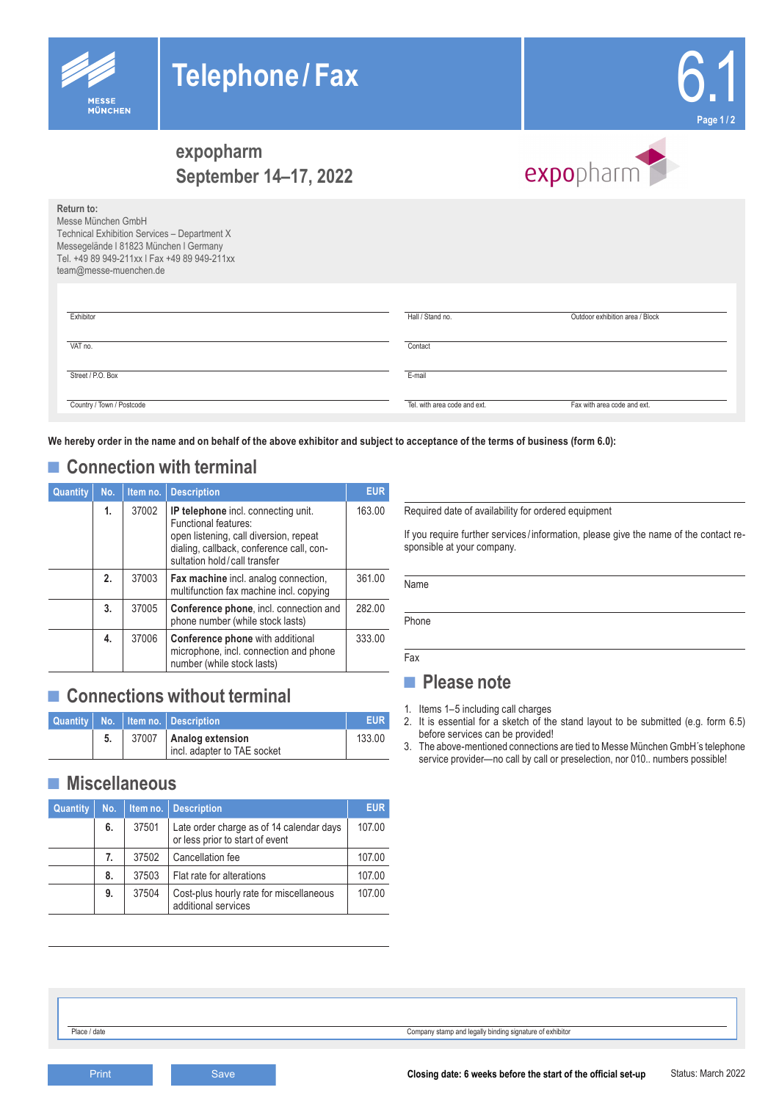



# **expopharm September 14–17, 2022**

| Return to:<br>Messe München GmbH |                           | team@messe-muenchen.de | Technical Exhibition Services - Department X<br>Messegelände I 81823 München I Germany<br>Tel. +49 89 949-211xx   Fax +49 89 949-211xx     |                      |                                                                                                                                                              |  |  |
|----------------------------------|---------------------------|------------------------|--------------------------------------------------------------------------------------------------------------------------------------------|----------------------|--------------------------------------------------------------------------------------------------------------------------------------------------------------|--|--|
| Exhibitor                        |                           |                        |                                                                                                                                            |                      | Hall / Stand no.<br>Outdoor exhibition area / Block                                                                                                          |  |  |
| VAT no.                          |                           |                        |                                                                                                                                            |                      | Contact                                                                                                                                                      |  |  |
| Street / P.O. Box                |                           |                        |                                                                                                                                            | E-mail               |                                                                                                                                                              |  |  |
|                                  | Country / Town / Postcode |                        |                                                                                                                                            |                      | Tel. with area code and ext.<br>Fax with area code and ext.                                                                                                  |  |  |
|                                  |                           |                        | <b>Connection with terminal</b>                                                                                                            |                      | le hereby order in the name and on behalf of the above exhibitor and subject to acceptance of the terms of business (form 6.0):                              |  |  |
| Quantity                         | No.<br>1.                 | Item no.<br>37002      | <b>Description</b><br>IP telephone incl. connecting unit.                                                                                  | <b>EUR</b><br>163.00 | Required date of availability for ordered equipment                                                                                                          |  |  |
|                                  |                           |                        | Functional features:<br>open listening, call diversion, repeat<br>dialing, callback, conference call, con-<br>sultation hold/call transfer |                      | If you require further services/information, please give the name of the contact re<br>sponsible at your company.                                            |  |  |
|                                  | 2.                        | 37003                  | Fax machine incl. analog connection,<br>multifunction fax machine incl. copying                                                            | 361.00               | Name                                                                                                                                                         |  |  |
|                                  | 3.                        | 37005                  | Conference phone, incl. connection and<br>phone number (while stock lasts)                                                                 | 282.00               | Phone                                                                                                                                                        |  |  |
|                                  | 4.                        | 37006                  | <b>Conference phone</b> with additional<br>microphone, incl. connection and phone                                                          | 333.00               | Fax                                                                                                                                                          |  |  |
|                                  |                           |                        | number (while stock lasts)<br><b>Connections without terminal</b>                                                                          |                      | <b>Please note</b><br>1. Items 1-5 including call charges                                                                                                    |  |  |
| Quantity                         | No.                       | Item no.               | <b>Description</b>                                                                                                                         | <b>EUR</b>           | 2. It is essential for a sketch of the stand layout to be submitted (e.g. form 6.5                                                                           |  |  |
|                                  | 5.                        | 37007                  | before services can be provided!<br>Analog extension<br>133.00<br>incl. adapter to TAE socket                                              |                      | 3. The above-mentioned connections are tied to Messe München GmbH's telephone<br>service provider-no call by call or preselection, nor 010 numbers possible! |  |  |
|                                  |                           | <b>Miscellaneous</b>   |                                                                                                                                            |                      |                                                                                                                                                              |  |  |
| Quantity                         | No.                       | Item no.               | <b>Description</b>                                                                                                                         | <b>EUR</b>           |                                                                                                                                                              |  |  |
|                                  | 6.                        | 37501                  | Late order charge as of 14 calendar days<br>or less prior to start of event                                                                | 107.00               |                                                                                                                                                              |  |  |
|                                  | 7.                        | 37502                  | Cancellation fee                                                                                                                           | 107.00               |                                                                                                                                                              |  |  |
|                                  | 8.                        | 37503                  | Flat rate for alterations                                                                                                                  | 107.00               |                                                                                                                                                              |  |  |
|                                  | 9.                        | 37504                  | Cost-plus hourly rate for miscellaneous<br>additional services                                                                             | 107.00               |                                                                                                                                                              |  |  |
|                                  |                           |                        |                                                                                                                                            |                      |                                                                                                                                                              |  |  |
| Place / date                     |                           |                        |                                                                                                                                            |                      | Company stamp and legally binding signature of exhibitor                                                                                                     |  |  |
|                                  | Print                     |                        | Save                                                                                                                                       |                      | Status: March 202:<br>Closing date: 6 weeks before the start of the official set-up                                                                          |  |  |

## ■ **Connection with terminal**

**MÜNCHEN** 

| Quantity | No. | Item no. | <b>Description</b>                                                                                                                                                                | <b>EUR</b> |
|----------|-----|----------|-----------------------------------------------------------------------------------------------------------------------------------------------------------------------------------|------------|
|          | 1.  | 37002    | IP telephone incl. connecting unit.<br>Functional features:<br>open listening, call diversion, repeat<br>dialing, callback, conference call, con-<br>sultation hold/call transfer | 163.00     |
|          | 2.  | 37003    | Fax machine incl. analog connection,<br>multifunction fax machine incl. copying                                                                                                   | 361.00     |
|          | 3.  | 37005    | Conference phone, incl. connection and<br>phone number (while stock lasts)                                                                                                        | 282.00     |
|          | 4.  | 37006    | <b>Conference phone</b> with additional<br>microphone, incl. connection and phone<br>number (while stock lasts)                                                                   | 333.00     |

## ■ **Connections without terminal**

|  | Quantity   No.   Item no.   Description               | <b>EUR</b> |
|--|-------------------------------------------------------|------------|
|  | 37007 Analog extension<br>incl. adapter to TAE socket | 133.00     |

#### **■ Miscellaneous**

| <b>Quantity</b> | No. | Item no. | <b>Description</b>                                                          | <b>EUR</b> |
|-----------------|-----|----------|-----------------------------------------------------------------------------|------------|
|                 | 6.  | 37501    | Late order charge as of 14 calendar days<br>or less prior to start of event | 107.00     |
|                 | 7.  | 37502    | Cancellation fee                                                            | 107.00     |
|                 | 8.  | 37503    | Flat rate for alterations                                                   | 107.00     |
|                 | 9.  | 37504    | Cost-plus hourly rate for miscellaneous<br>additional services              | 107.00     |

expopharm

### **■ Please note**

- 1. Items 1–5 including call charges
- 2. It is essential for a sketch of the stand layout to be submitted (e.g. form 6.5) before services can be provided!
- 3. The above-mentioned connections are tied to Messe München GmbH´s telephone service provider—no call by call or preselection, nor 010.. numbers possible!